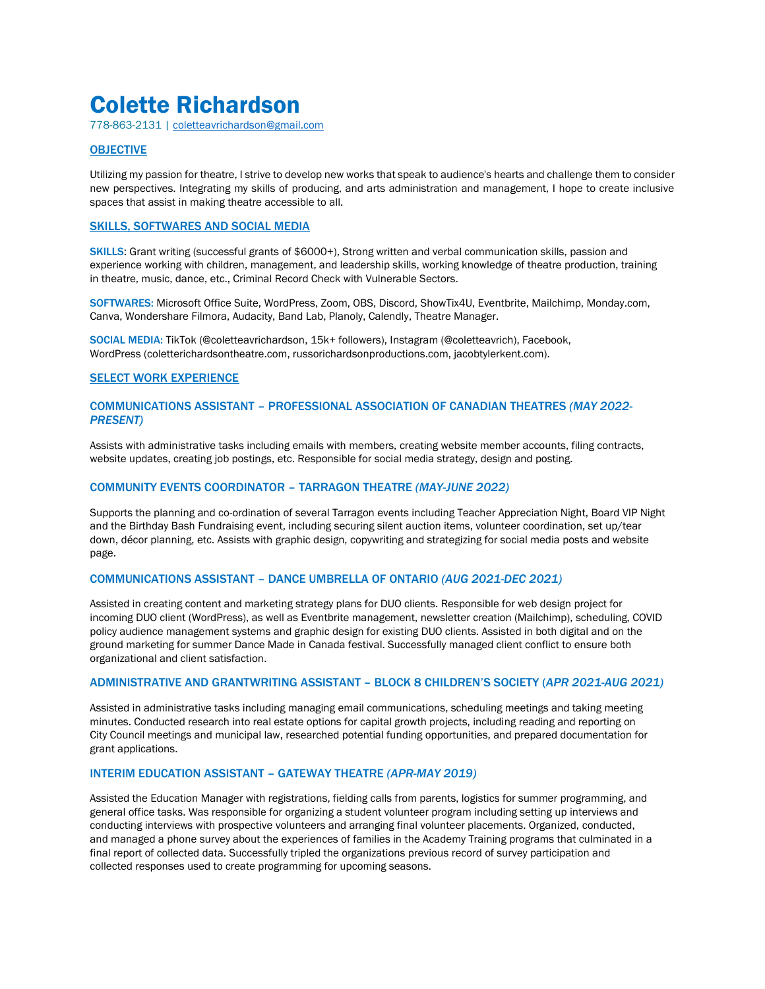# Colette Richardson

778-863-2131 | [coletteavrichardson@gmail.com](mailto:coletteavrichardson@gmail.com)

# **OBJECTIVE**

Utilizing my passion for theatre, I strive to develop new works that speak to audience's hearts and challenge them to consider new perspectives. Integrating my skills of producing, and arts administration and management, I hope to create inclusive spaces that assist in making theatre accessible to all.

# SKILLS, SOFTWARES AND SOCIAL MEDIA

SKILLS: Grant writing (successful grants of \$6000+), Strong written and verbal communication skills, passion and experience working with children, management, and leadership skills, working knowledge of theatre production, training in theatre, music, dance, etc., Criminal Record Check with Vulnerable Sectors.

SOFTWARES: Microsoft Office Suite, WordPress, Zoom, OBS, Discord, ShowTix4U, Eventbrite, Mailchimp, Monday.com, Canva, Wondershare Filmora, Audacity, Band Lab, Planoly, Calendly, Theatre Manager.

SOCIAL MEDIA: TikTok (@coletteavrichardson, 15k+ followers), Instagram (@coletteavrich), Facebook, WordPress (coletterichardsontheatre.com, russorichardsonproductions.com, jacobtylerkent.com).

## SELECT WORK EXPERIENCE

# COMMUNICATIONS ASSISTANT – PROFESSIONAL ASSOCIATION OF CANADIAN THEATRES *(MAY 2022- PRESENT)*

Assists with administrative tasks including emails with members, creating website member accounts, filing contracts, website updates, creating job postings, etc. Responsible for social media strategy, design and posting.

## COMMUNITY EVENTS COORDINATOR – TARRAGON THEATRE *(MAY-JUNE 2022)*

Supports the planning and co-ordination of several Tarragon events including Teacher Appreciation Night, Board VIP Night and the Birthday Bash Fundraising event, including securing silent auction items, volunteer coordination, set up/tear down, décor planning, etc. Assists with graphic design, copywriting and strategizing for social media posts and website page.

## COMMUNICATIONS ASSISTANT – DANCE UMBRELLA OF ONTARIO *(AUG 2021-DEC 2021)*

Assisted in creating content and marketing strategy plans for DUO clients. Responsible for web design project for incoming DUO client (WordPress), as well as Eventbrite management, newsletter creation (Mailchimp), scheduling, COVID policy audience management systems and graphic design for existing DUO clients. Assisted in both digital and on the ground marketing for summer Dance Made in Canada festival. Successfully managed client conflict to ensure both organizational and client satisfaction.

## ADMINISTRATIVE AND GRANTWRITING ASSISTANT – BLOCK 8 CHILDREN'S SOCIETY (*APR 2021-AUG 2021)*

Assisted in administrative tasks including managing email communications, scheduling meetings and taking meeting minutes. Conducted research into real estate options for capital growth projects, including reading and reporting on City Council meetings and municipal law, researched potential funding opportunities, and prepared documentation for grant applications.

# INTERIM EDUCATION ASSISTANT – GATEWAY THEATRE *(APR-MAY 2019)*

Assisted the Education Manager with registrations, fielding calls from parents, logistics for summer programming, and general office tasks. Was responsible for organizing a student volunteer program including setting up interviews and conducting interviews with prospective volunteers and arranging final volunteer placements. Organized, conducted, and managed a phone survey about the experiences of families in the Academy Training programs that culminated in a final report of collected data. Successfully tripled the organizations previous record of survey participation and collected responses used to create programming for upcoming seasons.